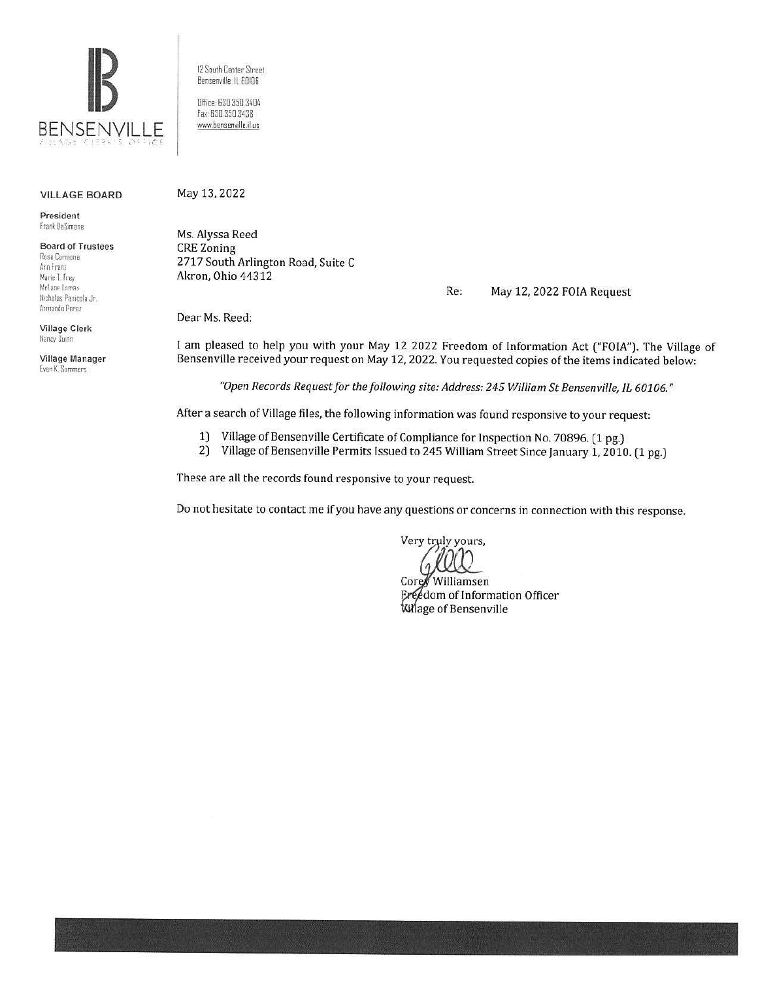

12 South Center Street Bensenville, IL 60106

Office: 630.350.3404 Fax: 630.350.3438 www.bensenville.il us

#### **VILLAGE BOARD**

President Frank DeSimone

**Board of Trustees** Rosa Carmona Ann Franz Marie T. Frey McLane Lomax Nicholas Panicola Jr. Armando Perez

Village Clerk Nancy Dunn

Village Manager Evan K. Summers

May 13, 2022 Ms. Alyssa Reed

**CRE** Zoning 2717 South Arlington Road, Suite C Akron, Ohio 44312

> Re: May 12, 2022 FOIA Request

Dear Ms. Reed:

I am pleased to help you with your May 12 2022 Freedom of Information Act ("FOIA"). The Village of Bensenville received your request on May 12, 2022. You requested copies of the items indicated below:

"Open Records Request for the following site: Address: 245 William St Bensenville, IL 60106."

After a search of Village files, the following information was found responsive to your request:

- 1) Village of Bensenville Certificate of Compliance for Inspection No. 70896. (1 pg.)
- 2) Village of Bensenville Permits Issued to 245 William Street Since January 1, 2010. (1 pg.)

These are all the records found responsive to your request.

Do not hesitate to contact me if you have any questions or concerns in connection with this response.

Very truly yours,

Core Williamsen Ereedom of Information Officer Willage of Bensenville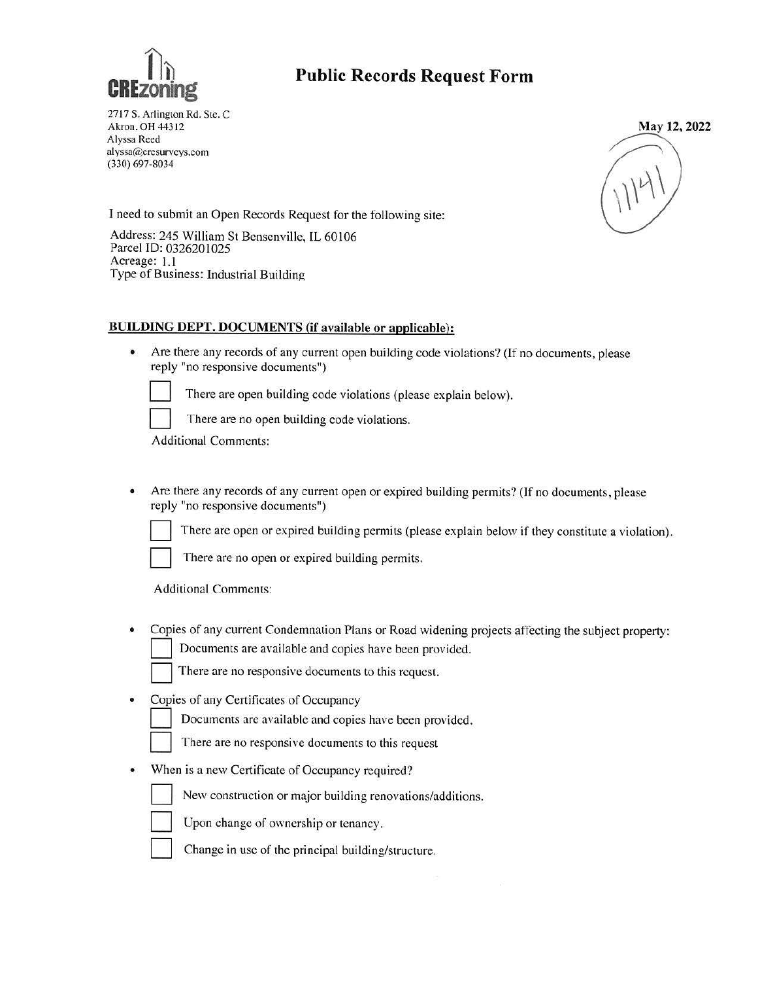

## **Public Records Request Form**

2717 S. Arlington Rd. Ste. C Akron. OH 44312 Alyssa Recd alyssa(@,crcsurvcys.com (330) 697-8034



I need to submit an Open Records Request for the following site:

Address: 245 William St Bensenville, IL 60106 Parcel ID: 0326201025 Acreage: 1.1 Type of Business: Industrial Building

#### **BUILDING DEPT. DOCUMENTS (if available or applicable):**

• Are there any records of any current open building code violations? (If no documents, please reply "no responsive documents")



There are open building code violations (please explain below).

There are no open building code violations.

Additional Comments:

• Are there any records of any current open or expired building permits? (If no documents, please reply "no responsive documents")

There are open or expired building permits (please explain below if they constitute a violation).



There are no open or expired building permits.

Additional Comments:

• Copies of any current Condemnation Plans or Road widening projects affecting the subject property:<br>  $\Box$  Documents are available and copies have been provided.

There are no responsive documents to this request.

• Copies of any Certificates of Occupancy

Documents are available and copies have been provided.

There are no responsive documents to this request

• When is a new Certificate of Occupancy required?

New construction or major building renovations/additions.

Upon change of ownership or tenancy.

Change in use of the principal building/structure.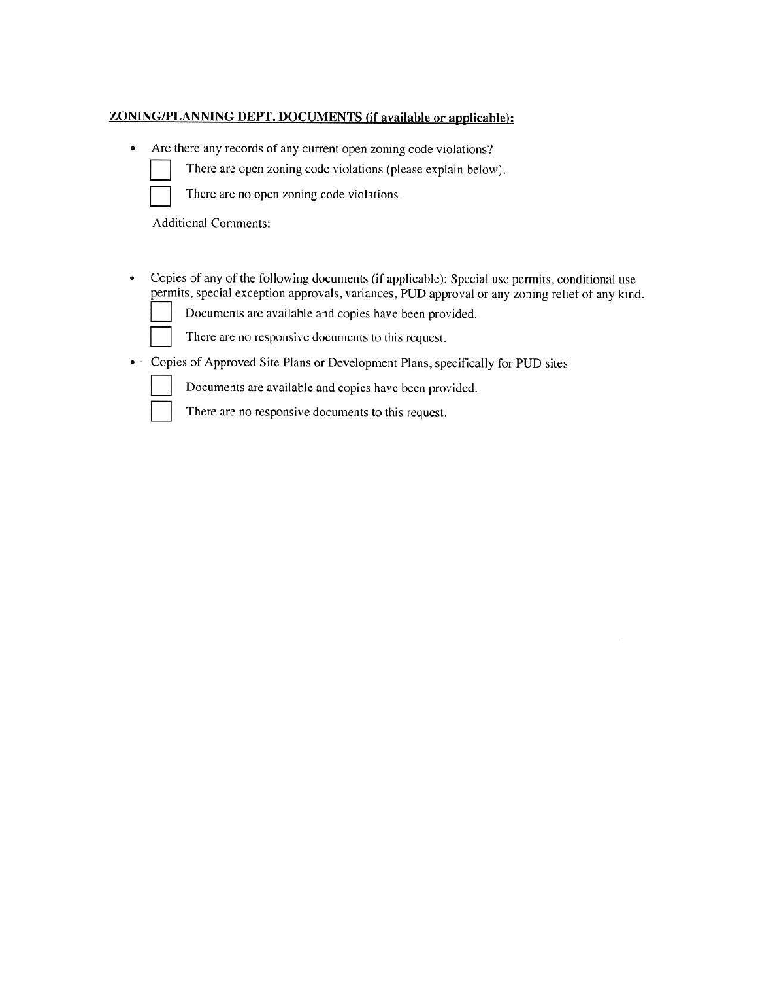#### **ZONING/PLANNING DEPT. DOCUMENTS {if available or applicable):**

• Are there any records of any current open zoning code violations?

| There are open zoning code violations (please explain below). |  |  |  |  |
|---------------------------------------------------------------|--|--|--|--|
| There are no open zoning code violations.                     |  |  |  |  |

There are no open zoning code violations.

Additional Comments:

• Copies of any of the following documents (if applicable): Special use permits, conditional use permits, special exception approvals, variances, PUD approval or any zoning relief of any kind.<br>
Documents are available and copies have been provided.

There are no responsive documents to this request.

• · Copies of Approved Site Plans or Development Plans, specifically for PUD sites

Documents are available and copies have been provided.



There are no responsive documents to this request.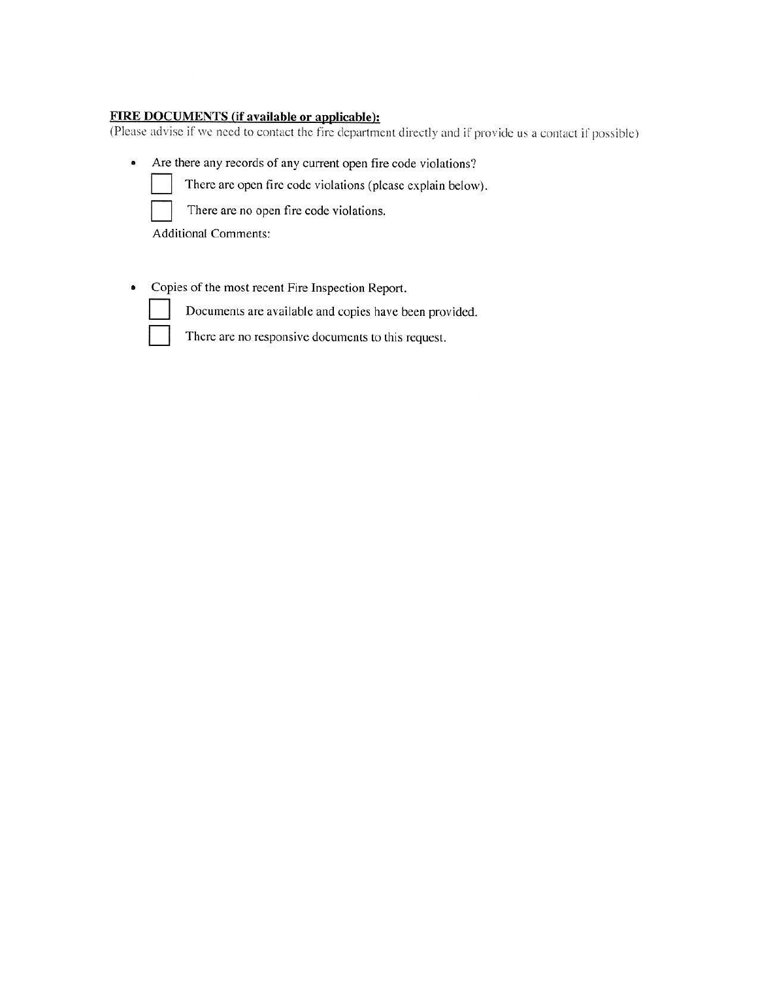### **FIRE DOCUMENTS (if available or applicable):**

(Please advise if we need to contact the fire department directly and if provide us a contact if possible)

• Are there any records of any current open fire code violations?



There are open fire code violations (please explain below).



There are no open fire code violations.

Additional Comments:

• Copies of the most recent Fire Inspection Report.

Documents are available and copies have been provided.



There are no responsive documents to this request.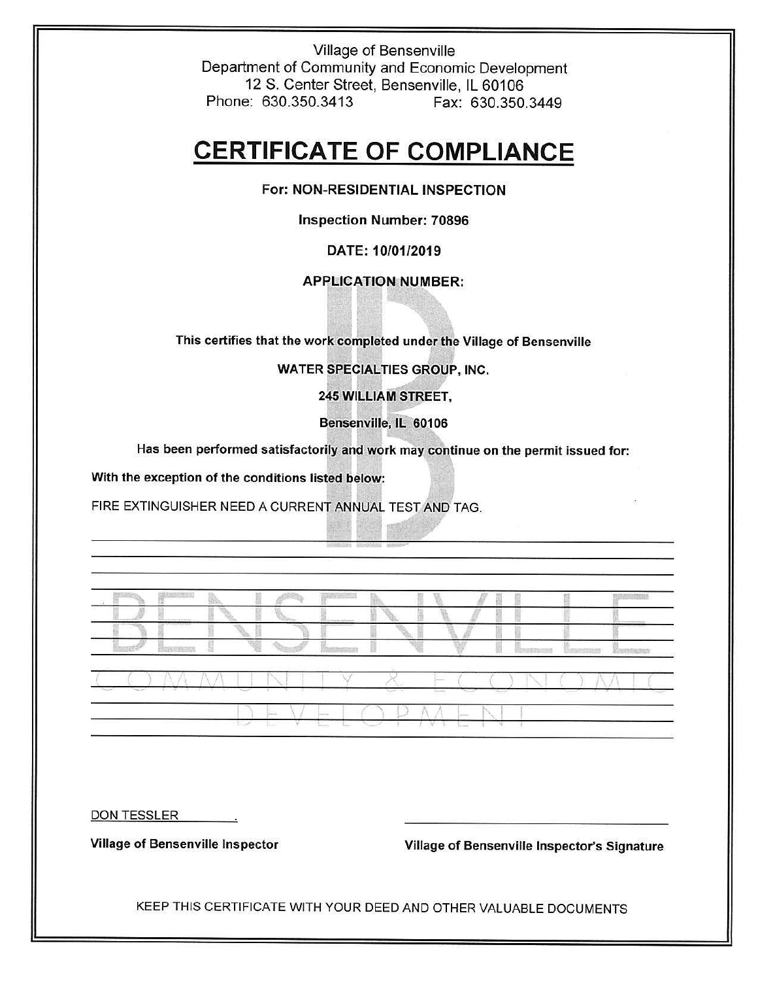Village of Bensenville Department of Community and Economic Development 12 S. Center Street, Bensenville, IL 60106 Phone: 630.350.3413 Fax: 630.350.3449

# **CERTIFICATE OF COMPLIANCE**

#### **For: NON-RESIDENTIAL INSPECTION**

**Inspection Number: 70896** 

#### **DATE: 10/01/2019**

#### **APPLICATION NUMBER:**

**This certifies that the work completed under the Village of Bensenville** 

WATER SPECIALTIES GROUP, INC.

**245 WILLIAM STREET,** 

**Bensenville, IL 60106** 

Has been performed satisfactorily and work may continue on the permit issued for:

**With the exception of the conditions listed below:** 

FIRE EXTINGUISHER NEED A CURRENT **ANNlJAL** TEST AND TAG.

*<sup>I</sup>*f ' / *;-c* C ) I DEVELOPMENT

DON TESSLER

**Village of Bensenville Inspector Village of Bensenville Inspector's Signature** 

KEEP THIS CERTIFICATE WITH YOUR DEED AND OTHER VALUABLE DOCUMENTS